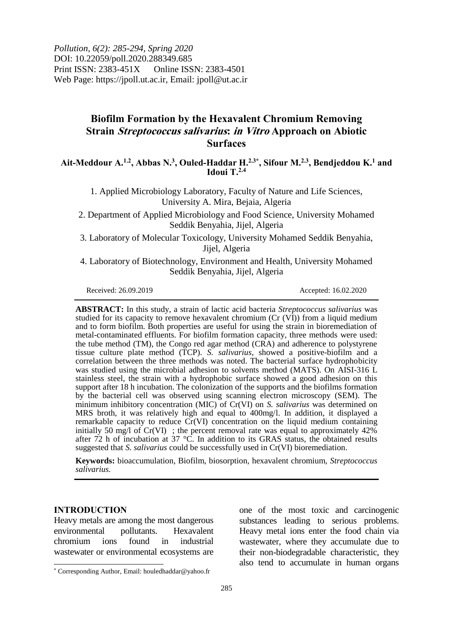*Pollution, 6(2): 285-294, Spring 2020* DOI: 10.22059/poll.2020.288349.685 Print ISSN: 2383-451X Online ISSN: 2383-4501 Web Page: https://jpoll.ut.ac.ir, Email: jpoll@ut.ac.ir

# **Biofilm Formation by the Hexavalent Chromium Removing Strain Streptococcus salivarius: in Vitro Approach on Abiotic Surfaces**

**Ait-Meddour A. 1.2, Abbas N. 3 , Ouled-Haddar H. 2.3\* , Sifour M. 2.3, Bendjeddou K. <sup>1</sup> and Idoui T. 2.4**

1. Applied Microbiology Laboratory, Faculty of Nature and Life Sciences, University A. Mira, Bejaia, Algeria

2. Department of Applied Microbiology and Food Science, University Mohamed Seddik Benyahia, Jijel, Algeria

3. Laboratory of Molecular Toxicology, University Mohamed Seddik Benyahia, Jijel, Algeria

4. Laboratory of Biotechnology, Environment and Health, University Mohamed Seddik Benyahia, Jijel, Algeria

Received: 26.09.2019 Accepted: 16.02.2020

**ABSTRACT:** In this study, a strain of lactic acid bacteria *Streptococcus salivarius* was studied for its capacity to remove hexavalent chromium (Cr (VI)) from a liquid medium and to form biofilm. Both properties are useful for using the strain in bioremediation of metal-contaminated effluents. For biofilm formation capacity, three methods were used: the tube method (TM), the Congo red agar method (CRA) and adherence to polystyrene tissue culture plate method (TCP). *S. salivarius*, showed a positive-biofilm and a correlation between the three methods was noted. The bacterial surface hydrophobicity was studied using the microbial adhesion to solvents method (MATS). On AISI-316 L stainless steel, the strain with a hydrophobic surface showed a good adhesion on this support after 18 h incubation. The colonization of the supports and the biofilms formation by the bacterial cell was observed using scanning electron microscopy (SEM). The minimum inhibitory concentration (MIC) of Cr(VI) on *S. salivarius* was determined on MRS broth, it was relatively high and equal to 400mg/l. In addition, it displayed a remarkable capacity to reduce Cr(VI) concentration on the liquid medium containing initially 50 mg/l of Cr(VI) ; the percent removal rate was equal to approximately 42% after 72 h of incubation at 37  $\degree$ C. In addition to its GRAS status, the obtained results suggested that *S. salivarius* could be successfully used in Cr(VI) bioremediation.

**Keywords:** bioaccumulation, Biofilm, biosorption, hexavalent chromium, *Streptococcus salivarius.*

#### **INTRODUCTION**

 $\overline{\phantom{a}}$ 

Heavy metals are among the most dangerous environmental pollutants. Hexavalent chromium ions found in industrial wastewater or environmental ecosystems are one of the most toxic and carcinogenic substances leading to serious problems. Heavy metal ions enter the food chain via wastewater, where they accumulate due to their non-biodegradable characteristic, they also tend to accumulate in human organs

<sup>\*</sup> Corresponding Author, Email: houledhaddar@yahoo.fr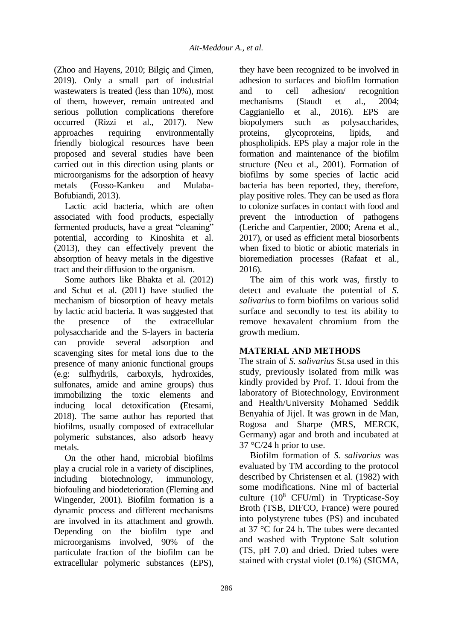(Zhoo and Hayens, 2010; Bilgiç and Çimen, 2019). Only a small part of industrial wastewaters is treated (less than 10%), most of them, however, remain untreated and serious pollution complications therefore occurred (Rizzi et al., 2017). New approaches requiring environmentally friendly biological resources have been proposed and several studies have been carried out in this direction using plants or microorganisms for the adsorption of heavy metals (Fosso-Kankeu and Mulaba-Bofubiandi, 2013).

Lactic acid bacteria, which are often associated with food products, especially fermented products, have a great "cleaning" potential, according to Kinoshita et al. (2013), they can effectively prevent the absorption of heavy metals in the digestive tract and their diffusion to the organism.

Some authors like Bhakta et al. (2012) and Schut et al. (2011) have studied the mechanism of biosorption of heavy metals by lactic acid bacteria. It was suggested that the presence of the extracellular polysaccharide and the S-layers in bacteria can provide several adsorption and scavenging sites for metal ions due to the presence of many anionic functional groups (e.g: sulfhydrils, carboxyls, hydroxides, sulfonates, amide and amine groups) thus immobilizing the toxic elements and inducing local detoxification **(**Etesami, 2018). The same author has reported that biofilms, usually composed of extracellular polymeric substances, also adsorb heavy metals.

On the other hand, microbial biofilms play a crucial role in a variety of disciplines, including biotechnology, immunology, biofouling and biodeterioration (Fleming and Wingender, 2001). Biofilm formation is a dynamic process and different mechanisms are involved in its attachment and growth. Depending on the biofilm type and microorganisms involved, 90% of the particulate fraction of the biofilm can be extracellular polymeric substances (EPS),

they have been recognized to be involved in adhesion to surfaces and biofilm formation and to cell adhesion/ recognition mechanisms (Staudt et al., 2004; Caggianiello et al., 2016). EPS are biopolymers such as polysaccharides, proteins, glycoproteins, lipids, and phospholipids. EPS play a major role in the formation and maintenance of the biofilm structure (Neu et al., 2001). Formation of biofilms by some species of lactic acid bacteria has been reported, they, therefore, play positive roles. They can be used as flora to colonize surfaces in contact with food and prevent the introduction of pathogens (Leriche and Carpentier, 2000; Arena et al., 2017), or used as efficient metal biosorbents when fixed to biotic or abiotic materials in bioremediation processes (Rafaat et al., 2016).

The aim of this work was, firstly to detect and evaluate the potential of *S. salivarius* to form biofilms on various solid surface and secondly to test its ability to remove hexavalent chromium from the growth medium.

## **MATERIAL AND METHODS**

The strain of *S. salivarius* St.sa used in this study, previously isolated from milk was kindly provided by Prof. T. Idoui from the laboratory of Biotechnology, Environment and Health/University Mohamed Seddik Benyahia of Jijel. It was grown in de Man, Rogosa and Sharpe (MRS, MERCK, Germany) agar and broth and incubated at  $37 \text{ °C}/24$  h prior to use.

Biofilm formation of *S. salivarius* was evaluated by TM according to the protocol described by Christensen et al. (1982) with some modifications. Nine ml of bacterial culture  $(10^8 \text{ CFU/ml})$  in Trypticase-Soy Broth (TSB, DIFCO, France) were poured into polystyrene tubes (PS) and incubated at 37 °C for 24 h. The tubes were decanted and washed with Tryptone Salt solution (TS, pH 7.0) and dried. Dried tubes were stained with crystal violet (0.1%) (SIGMA,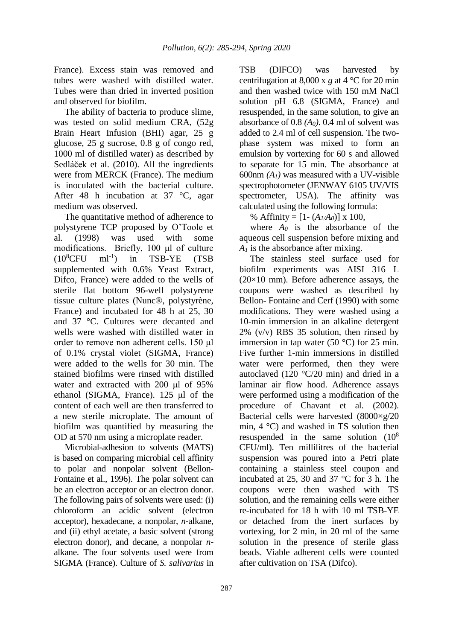France). Excess stain was removed and tubes were washed with distilled water. Tubes were than dried in inverted position and observed for biofilm.

The ability of bacteria to produce slime, was tested on solid medium CRA, (52g Brain Heart Infusion (BHI) agar, 25 g glucose, 25 g sucrose, 0.8 g of congo red, 1000 ml of distilled water) as described by Sedláček et al. (2010). All the ingredients were from MERCK (France). The medium is inoculated with the bacterial culture. After 48 h incubation at 37 °C, agar medium was observed.

The quantitative method of adherence to polystyrene TCP proposed by O'Toole et al. (1998) was used with some modifications. Briefly, 100 μl of culture  $(10^8$ CFU ml<sup>-1</sup>) ) in TSB-YE (TSB supplemented with 0.6% Yeast Extract, Difco, France) were added to the wells of sterile flat bottom 96-well polystyrene tissue culture plates (Nunc®, polystyrène, France) and incubated for 48 h at 25, 30 and 37 °C. Cultures were decanted and wells were washed with distilled water in order to remove non adherent cells. 150 μl of 0.1% crystal violet (SIGMA, France) were added to the wells for 30 min. The stained biofilms were rinsed with distilled water and extracted with 200 μl of 95% ethanol (SIGMA, France). 125 μl of the content of each well are then transferred to a new sterile microplate. The amount of biofilm was quantified by measuring the OD at 570 nm using a microplate reader.

Microbial-adhesion to solvents (MATS) is based on comparing microbial cell affinity to polar and nonpolar solvent (Bellon-Fontaine et al., 1996). The polar solvent can be an electron acceptor or an electron donor. The following pairs of solvents were used: (i) chloroform an acidic solvent (electron acceptor), hexadecane, a nonpolar, *n*-alkane, and (ii) ethyl acetate, a basic solvent (strong electron donor), and decane, a nonpolar *n*alkane. The four solvents used were from SIGMA (France). Culture of *S. salivarius* in

TSB (DIFCO) was harvested by centrifugation at 8,000 x *g* at 4 °C for 20 min and then washed twice with 150 mM NaCl solution pH 6.8 (SIGMA, France) and resuspended, in the same solution, to give an absorbance of 0.8 *(A0)*. 0.4 ml of solvent was added to 2.4 ml of cell suspension. The twophase system was mixed to form an emulsion by vortexing for 60 s and allowed to separate for 15 min. The absorbance at 600nm *(A1)* was measured with a UV-visible spectrophotometer (JENWAY 6105 UV/VIS spectrometer, USA). The affinity was calculated using the following formula:

% Affinity =  $[1 - (A_I/A_0)] \times 100$ ,

where  $A_0$  is the absorbance of the aqueous cell suspension before mixing and *A<sup>1</sup>* is the absorbance after mixing.

The stainless steel surface used for biofilm experiments was AISI 316 L  $(20\times10$  mm). Before adherence assays, the coupons were washed as described by Bellon- Fontaine and Cerf (1990) with some modifications. They were washed using a 10-min immersion in an alkaline detergent  $2\%$  (v/v) RBS 35 solution, then rinsed by immersion in tap water (50  $^{\circ}$ C) for 25 min. Five further 1-min immersions in distilled water were performed, then they were autoclaved (120 °C/20 min) and dried in a laminar air flow hood. Adherence assays were performed using a modification of the procedure of Chavant et al. (2002). Bacterial cells were harvested  $(8000\times220)$ min,  $4 \degree C$ ) and washed in TS solution then resuspended in the same solution  $(10^8)$ CFU/ml). Ten millilitres of the bacterial suspension was poured into a Petri plate containing a stainless steel coupon and incubated at 25, 30 and 37 °C for 3 h. The coupons were then washed with TS solution, and the remaining cells were either re-incubated for 18 h with 10 ml TSB-YE or detached from the inert surfaces by vortexing, for 2 min, in 20 ml of the same solution in the presence of sterile glass beads. Viable adherent cells were counted after cultivation on TSA (Difco).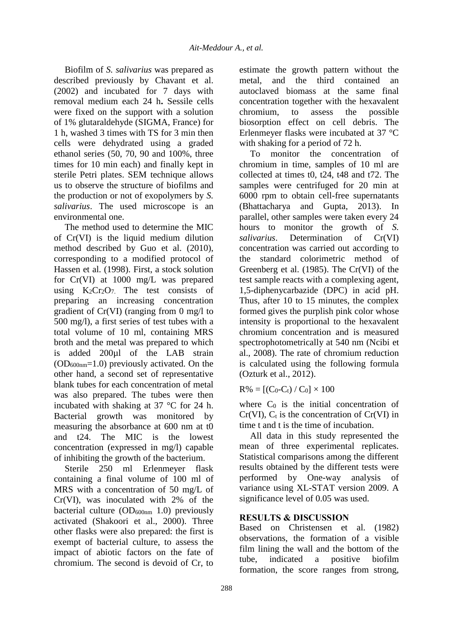Biofilm of *S. salivarius* was prepared as described previously by Chavant et al. (2002) and incubated for 7 days with removal medium each 24 h**.** Sessile cells were fixed on the support with a solution of 1% glutaraldehyde (SIGMA, France) for 1 h, washed 3 times with TS for 3 min then cells were dehydrated using a graded ethanol series (50, 70, 90 and 100%, three times for 10 min each) and finally kept in sterile Petri plates. SEM technique allows us to observe the structure of biofilms and the production or not of exopolymers by *S. salivarius*. The used microscope is an environmental one.

The method used to determine the MIC of Cr(VI) is the liquid medium dilution method described by Guo et al. (2010), corresponding to a modified protocol of Hassen et al. (1998). First, a stock solution for Cr(VI) at 1000 mg/L was prepared using  $K_2Cr_2O_7$ . The test consists of preparing an increasing concentration gradient of Cr(VI) (ranging from 0 mg/l to 500 mg/l), a first series of test tubes with a total volume of 10 ml, containing MRS broth and the metal was prepared to which is added 200µl of the LAB strain  $(OD_{600nm} = 1.0)$  previously activated. On the other hand, a second set of representative blank tubes for each concentration of metal was also prepared. The tubes were then incubated with shaking at 37 °C for 24 h. Bacterial growth was monitored by measuring the absorbance at 600 nm at t0 and t24. The MIC is the lowest concentration (expressed in mg/l) capable of inhibiting the growth of the bacterium.

Sterile 250 ml Erlenmeyer flask containing a final volume of 100 ml of MRS with a concentration of 50 mg/L of Cr(VI), was inoculated with 2% of the bacterial culture  $OD_{600nm}$  1.0) previously activated (Shakoori et al., 2000). Three other flasks were also prepared: the first is exempt of bacterial culture, to assess the impact of abiotic factors on the fate of chromium. The second is devoid of Cr, to estimate the growth pattern without the metal, and the third contained an autoclaved biomass at the same final concentration together with the hexavalent chromium, to assess the possible biosorption effect on cell debris. The Erlenmeyer flasks were incubated at 37 °C with shaking for a period of 72 h.

To monitor the concentration of chromium in time, samples of 10 ml are collected at times t0, t24, t48 and t72. The samples were centrifuged for 20 min at 6000 rpm to obtain cell-free supernatants (Bhattacharya and Gupta, 2013). In parallel, other samples were taken every 24 hours to monitor the growth of *S. salivarius*. Determination of Cr(VI) concentration was carried out according to the standard colorimetric method of Greenberg et al. (1985). The Cr(VI) of the test sample reacts with a complexing agent, 1,5-diphenycarbazide (DPC) in acid pH. Thus, after 10 to 15 minutes, the complex formed gives the purplish pink color whose intensity is proportional to the hexavalent chromium concentration and is measured spectrophotometrically at 540 nm (Ncibi et al., 2008). The rate of chromium reduction is calculated using the following formula (Ozturk et al., 2012).

 $R\% = [(C_0-C_t) / C_0] \times 100$ 

where  $C_0$  is the initial concentration of  $Cr(VI)$ ,  $C_t$  is the concentration of  $Cr(VI)$  in time t and t is the time of incubation.

All data in this study represented the mean of three experimental replicates. Statistical comparisons among the different results obtained by the different tests were performed by One-way analysis of variance using XL-STAT version 2009. A significance level of 0.05 was used.

## **RESULTS & DISCUSSION**

Based on Christensen et al. (1982) observations, the formation of a visible film lining the wall and the bottom of the tube, indicated a positive biofilm formation, the score ranges from strong,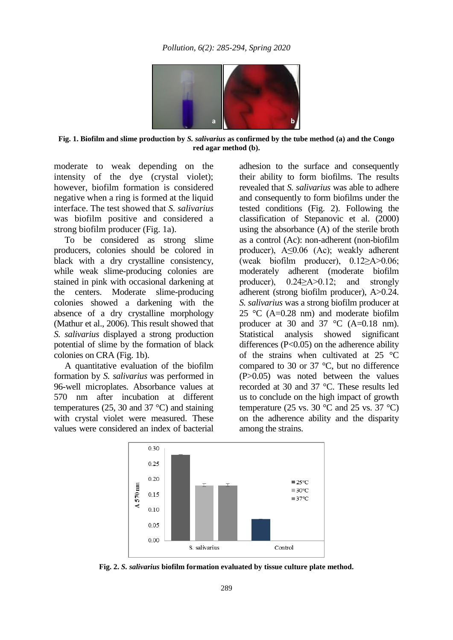

**Fig. 1. Biofilm and slime production by** *S. salivarius* **as confirmed by the tube method (a) and the Congo red agar method (b).**

moderate to weak depending on the intensity of the dye (crystal violet); however, biofilm formation is considered negative when a ring is formed at the liquid interface. The test showed that *S. salivarius*  was biofilm positive and considered a strong biofilm producer (Fig. 1a).

To be considered as strong slime producers, colonies should be colored in black with a dry crystalline consistency, while weak slime-producing colonies are stained in pink with occasional darkening at the centers. Moderate slime-producing colonies showed a darkening with the absence of a dry crystalline morphology (Mathur et al., 2006). This result showed that *S. salivarius* displayed a strong production potential of slime by the formation of black colonies on CRA (Fig. 1b).

A quantitative evaluation of the biofilm formation by *S. salivarius* was performed in 96-well microplates. Absorbance values at 570 nm after incubation at different temperatures (25, 30 and 37  $^{\circ}$ C) and staining with crystal violet were measured. These values were considered an index of bacterial

adhesion to the surface and consequently their ability to form biofilms. The results revealed that *S. salivarius* was able to adhere and consequently to form biofilms under the tested conditions (Fig. 2). Following the classification of Stepanovic et al. (2000) using the absorbance (A) of the sterile broth as a control (Ac): non-adherent (non-biofilm producer), A≤0.06 (Ac); weakly adherent (weak biofilm producer), 0.12≥A>0.06; moderately adherent (moderate biofilm producer), 0.24≥A>0.12; and strongly adherent (strong biofilm producer), A>0.24. *S. salivarius* was a strong biofilm producer at 25 °C (A=0.28 nm) and moderate biofilm producer at 30 and 37  $\degree$ C (A=0.18 nm). Statistical analysis showed significant differences (P<0.05) on the adherence ability of the strains when cultivated at  $25 \text{ °C}$ compared to 30 or 37 °C, but no difference (P>0.05) was noted between the values recorded at 30 and 37 °C. These results led us to conclude on the high impact of growth temperature (25 vs. 30  $^{\circ}$ C and 25 vs. 37  $^{\circ}$ C) on the adherence ability and the disparity among the strains.



**Fig. 2.** *S. salivarius* **biofilm formation evaluated by tissue culture plate method.**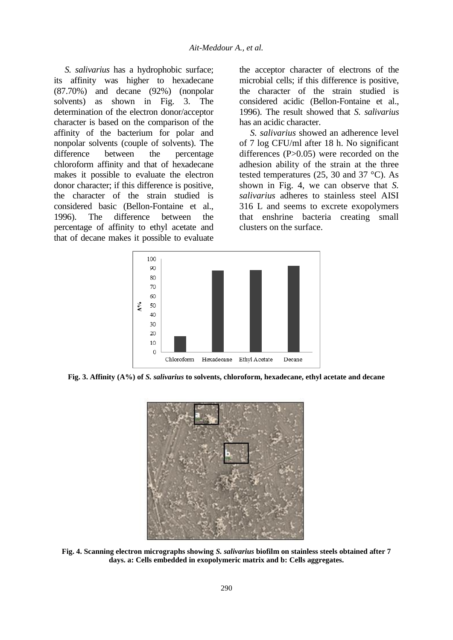*S. salivarius* has a hydrophobic surface; its affinity was higher to hexadecane (87.70%) and decane (92%) (nonpolar solvents) as shown in Fig. 3. The determination of the electron donor/acceptor character is based on the comparison of the affinity of the bacterium for polar and nonpolar solvents (couple of solvents). The difference between the percentage chloroform affinity and that of hexadecane makes it possible to evaluate the electron donor character; if this difference is positive, the character of the strain studied is considered basic (Bellon-Fontaine et al., 1996). The difference between the percentage of affinity to ethyl acetate and that of decane makes it possible to evaluate

the acceptor character of electrons of the microbial cells; if this difference is positive, the character of the strain studied is considered acidic (Bellon-Fontaine et al., 1996). The result showed that *S. salivarius* has an acidic character.

*S. salivarius* showed an adherence level of 7 log CFU/ml after 18 h. No significant differences (P>0.05) were recorded on the adhesion ability of the strain at the three tested temperatures (25, 30 and 37 °C). As shown in Fig. 4, we can observe that *S. salivarius* adheres to stainless steel AISI 316 L and seems to excrete exopolymers that enshrine bacteria creating small clusters on the surface.



**Fig. 3. Affinity (A%) of** *S. salivarius* **to solvents, chloroform, hexadecane, ethyl acetate and decane**



**Fig. 4. Scanning electron micrographs showing** *S. salivarius* **biofilm on stainless steels obtained after 7 days. a: Cells embedded in exopolymeric matrix and b: Cells aggregates.**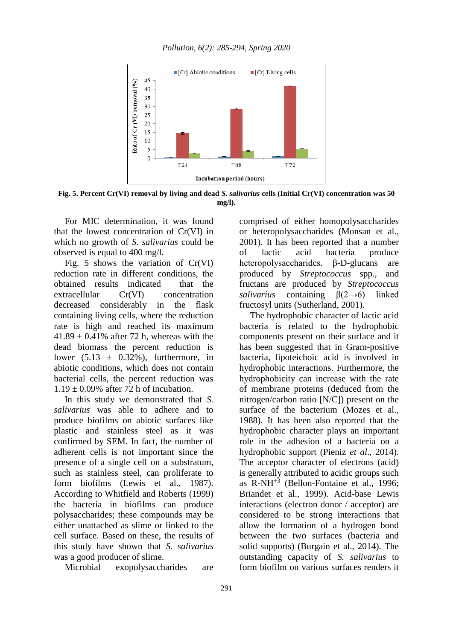



**Fig. 5. Percent Cr(VI) removal by living and dead** *S. salivarius* **cells (Initial Cr(VI) concentration was 50 mg/l).**

For MIC determination, it was found that the lowest concentration of Cr(VI) in which no growth of *S. salivarius* could be observed is equal to 400 mg/l.

Fig. 5 shows the variation of Cr(VI) reduction rate in different conditions, the obtained results indicated that the extracellular Cr(VI) concentration decreased considerably in the flask containing living cells, where the reduction rate is high and reached its maximum  $41.89 \pm 0.41\%$  after 72 h, whereas with the dead biomass the percent reduction is lower  $(5.13 \pm 0.32\%)$ , furthermore, in abiotic conditions, which does not contain bacterial cells, the percent reduction was  $1.19 \pm 0.09\%$  after 72 h of incubation.

In this study we demonstrated that *S. salivarius* was able to adhere and to produce biofilms on abiotic surfaces like plastic and stainless steel as it was confirmed by SEM. In fact, the number of adherent cells is not important since the presence of a single cell on a substratum, such as stainless steel, can proliferate to form biofilms (Lewis et al., 1987). According to Whitfield and Roberts (1999) the bacteria in biofilms can produce polysaccharides; these compounds may be either unattached as slime or linked to the cell surface. Based on these, the results of this study have shown that *S. salivarius* was a good producer of slime.

Microbial exopolysaccharides are

comprised of either homopolysaccharides or heteropolysaccharides (Monsan et al., 2001). It has been reported that a number of lactic acid bacteria produce heteropolysaccharides. β-D-glucans are produced by *Streptococcus* spp., and fructans are produced by *Streptococcus salivarius* containing β(2→6) linked fructosyl units (Sutherland, 2001).

The hydrophobic character of lactic acid bacteria is related to the hydrophobic components present on their surface and it has been suggested that in Gram-positive bacteria, lipoteichoic acid is involved in hydrophobic interactions. Furthermore, the hydrophobicity can increase with the rate of membrane proteins (deduced from the nitrogen/carbon ratio [N/C]) present on the surface of the bacterium (Mozes et al., 1988). It has been also reported that the hydrophobic character plays an important role in the adhesion of a bacteria on a hydrophobic support (Pieniz *et al*., 2014). The acceptor character of electrons (acid) is generally attributed to acidic groups such as  $R-NH^{+3}$  (Bellon-Fontaine et al., 1996; Briandet et al., 1999). Acid-base Lewis interactions (electron donor / acceptor) are considered to be strong interactions that allow the formation of a hydrogen bond between the two surfaces (bacteria and solid supports) (Burgain et al., 2014). The outstanding capacity of *S. salivarius* to form biofilm on various surfaces renders it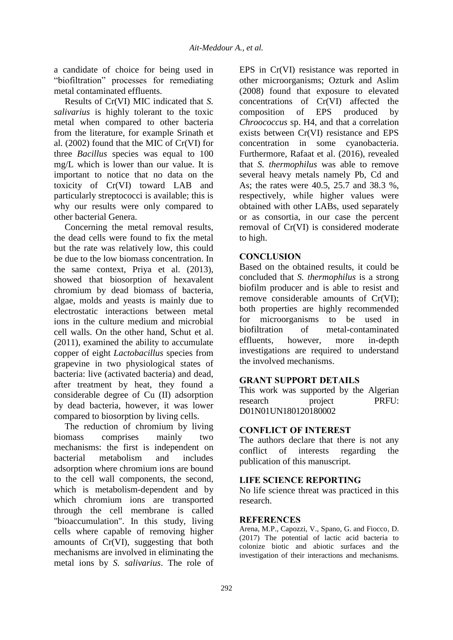a candidate of choice for being used in "biofiltration" processes for remediating metal contaminated effluents.

Results of Cr(VI) MIC indicated that *S. salivarius* is highly tolerant to the toxic metal when compared to other bacteria from the literature, for example Srinath et al. (2002) found that the MIC of Cr(VI) for three *Bacillus* species was equal to 100 mg/L which is lower than our value. It is important to notice that no data on the toxicity of Cr(VI) toward LAB and particularly streptococci is available; this is why our results were only compared to other bacterial Genera.

Concerning the metal removal results, the dead cells were found to fix the metal but the rate was relatively low, this could be due to the low biomass concentration. In the same context, Priya et al. (2013), showed that biosorption of hexavalent chromium by dead biomass of bacteria, algae, molds and yeasts is mainly due to electrostatic interactions between metal ions in the culture medium and microbial cell walls. On the other hand, Schut et al. (2011), examined the ability to accumulate copper of eight *Lactobacillus* species from grapevine in two physiological states of bacteria: live (activated bacteria) and dead, after treatment by heat, they found a considerable degree of Cu (II) adsorption by dead bacteria, however, it was lower compared to biosorption by living cells.

The reduction of chromium by living biomass comprises mainly two mechanisms: the first is independent on bacterial metabolism and includes adsorption where chromium ions are bound to the cell wall components, the second, which is metabolism-dependent and by which chromium ions are transported through the cell membrane is called "bioaccumulation". In this study, living cells where capable of removing higher amounts of Cr(VI), suggesting that both mechanisms are involved in eliminating the metal ions by *S. salivarius*. The role of

EPS in Cr(VI) resistance was reported in other microorganisms; Ozturk and Aslim (2008) found that exposure to elevated concentrations of Cr(VI) affected the composition of EPS produced by *Chroococcus* sp. H4, and that a correlation exists between Cr(VI) resistance and EPS concentration in some cyanobacteria. Furthermore, Rafaat et al. (2016), revealed that *S. thermophilus* was able to remove several heavy metals namely Pb, Cd and As; the rates were 40.5, 25.7 and 38.3 %, respectively, while higher values were obtained with other LABs, used separately or as consortia, in our case the percent removal of Cr(VI) is considered moderate to high.

#### **CONCLUSION**

Based on the obtained results, it could be concluded that *S. thermophilus* is a strong biofilm producer and is able to resist and remove considerable amounts of Cr(VI); both properties are highly recommended for microorganisms to be used in biofiltration of metal-contaminated effluents, however, more in-depth investigations are required to understand the involved mechanisms.

#### **GRANT SUPPORT DETAILS**

This work was supported by the Algerian research project PRFU: D01N01UN180120180002

### **CONFLICT OF INTEREST**

The authors declare that there is not any conflict of interests regarding the publication of this manuscript.

#### **LIFE SCIENCE REPORTING**

No life science threat was practiced in this research.

#### **REFERENCES**

Arena, M.P., Capozzi, V., Spano, G. and Fiocco*,* D. (2017) The potential of lactic acid bacteria to colonize biotic and abiotic surfaces and the investigation of their interactions and mechanisms.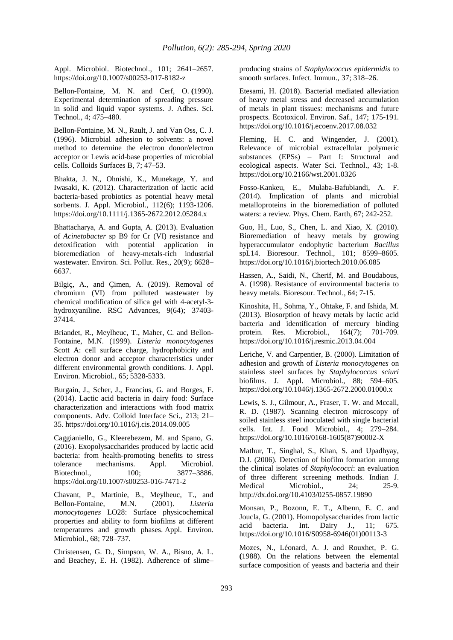Appl. Microbiol. Biotechnol., 101; 2641–2657. https://doi.org/10.1007/s00253-017-8182-z

Bellon-Fontaine, M. N. and Cerf, O. **(**1990). Experimental determination of spreading pressure in solid and liquid vapor systems. J. Adhes. Sci. Technol., 4; 475–480.

Bellon-Fontaine, M. N., Rault, J. and Van Oss, C. J. (1996). Microbial adhesion to solvents: a novel method to determine the electron donor/electron acceptor or Lewis acid-base properties of microbial cells. Colloids Surfaces B, 7; 47–53.

Bhakta, J. N., Ohnishi, K., Munekage, Y. and Iwasaki, K. (2012). Characterization of lactic acid bacteria‐based probiotics as potential heavy metal sorbents. J. Appl. Microbiol., 112(6); 1193-1206. https://doi.org/10.1111/j.1365-2672.2012.05284.x

Bhattacharya, A. and Gupta, A. (2013). Evaluation of *Acinetobacter* sp B9 for Cr (VI) resistance and detoxification with potential application in bioremediation of heavy-metals-rich industrial wastewater. Environ. Sci. Pollut. Res., 20(9); 6628– 6637.

Bilgiç, A., and Çimen, A. (2019). Removal of chromium (VI) from polluted wastewater by chemical modification of silica gel with 4-acetyl-3 hydroxyaniline. RSC Advances, 9(64); 37403- 37414.

Briandet, R., Meylheuc, T., Maher, C. and Bellon-Fontaine, M.N. (1999). *Listeria monocytogenes* Scott A: cell surface charge, hydrophobicity and electron donor and acceptor characteristics under different environmental growth conditions. J. Appl. Environ. Microbiol., 65; 5328-5333.

Burgain, J., Scher, J., Francius, G. and Borges, F. (2014). Lactic acid bacteria in dairy food: Surface characterization and interactions with food matrix components. Adv. Colloid Interface Sci., 213; 21– 35. https://doi.org/10.1016/j.cis.2014.09.005

Caggianiello, G., Kleerebezem, M. and Spano, G. (2016). Exopolysaccharides produced by lactic acid bacteria: from health-promoting benefits to stress tolerance mechanisms. Appl. Microbiol. Biotechnol., 100; 3877–3886. https://doi.org/10.1007/s00253-016-7471-2

Chavant, P., Martinie, B., Meylheuc, T., and Bellon-Fontaine, M.N. (2001). *Listeria monocytogenes* LO28: Surface physicochemical properties and ability to form biofilms at different temperatures and growth phases. Appl. Environ. Microbiol., 68; 728–737.

Christensen, G. D., Simpson, W. A., Bisno, A. L. and Beachey, E. H. (1982). Adherence of slime– producing strains of *Staphylococcus epidermidis* to smooth surfaces. Infect. Immun., 37; 318–26.

Etesami, H. (2018). Bacterial mediated alleviation of heavy metal stress and decreased accumulation of metals in plant tissues: mechanisms and future prospects. Ecotoxicol. Environ. Saf., 147; 175-191. https://doi.org/10.1016/j.ecoenv.2017.08.032

Fleming, H. C. and Wingender, J. (2001). Relevance of microbial extracellular polymeric substances (EPSs) – Part I: Structural and ecological aspects. Water Sci. Technol., 43; 1-8. https://doi.org/10.2166/wst.2001.0326

Fosso-Kankeu, E., Mulaba-Bafubiandi, A. F. (2014). Implication of plants and microbial metalloproteins in the bioremediation of polluted waters: a review. Phys. Chem. Earth, 67; 242-252.

Guo, H., Luo, S., Chen, L. and Xiao, X. (2010). Bioremediation of heavy metals by growing hyperaccumulator endophytic bacterium *Bacillus*  spL14. Bioresour. Technol., 101; 8599–8605. https://doi.org/10.1016/j.biortech.2010.06.085

Hassen, A., Saidi, N., Cherif, M. and Boudabous, A. (1998). Resistance of environmental bacteria to heavy metals. Bioresour. Technol., 64; 7-15.

Kinoshita, H., Sohma, Y., Ohtake, F. and Ishida, M. (2013). Biosorption of heavy metals by lactic acid bacteria and identification of mercury binding protein. Res. Microbiol., 164(7); 701-709. https://doi.org/10.1016/j.resmic.2013.04.004

Leriche, V. and Carpentier, B. (2000). Limitation of adhesion and growth of *Listeria monocytogenes* on stainless steel surfaces by *Staphylococcus sciuri* biofilms. J. Appl. Microbiol., 88; 594–605. https://doi.org/10.1046/j.1365-2672.2000.01000.x

Lewis, S. J., Gilmour, A., Fraser, T. W. and Mccall, R. D. (1987). Scanning electron microscopy of soiled stainless steel inoculated with single bacterial cells. Int. J. Food Microbiol., 4; 279–284. https://doi.org/10.1016/0168-1605(87)90002-X

Mathur, T., Singhal, S., Khan, S. and Upadhyay, D.J. (2006). Detection of biofilm formation among the clinical isolates of *Staphylococci*: an evaluation of three different screening methods. Indian J. Medical Microbiol., 24; 25-9. http://dx.doi.org/10.4103/0255-0857.19890

Monsan, P., Bozonn, E. T., Albenn, E. C. and Joucla, G. (2001). Homopolysaccharides from lactic acid bacteria. Int. Dairy J., 11; 675. https://doi.org/10.1016/S0958-6946(01)00113-3

Mozes, N., Léonard, A. J. and Rouxhet, P. G. **(**1988). On the relations between the elemental surface composition of yeasts and bacteria and their